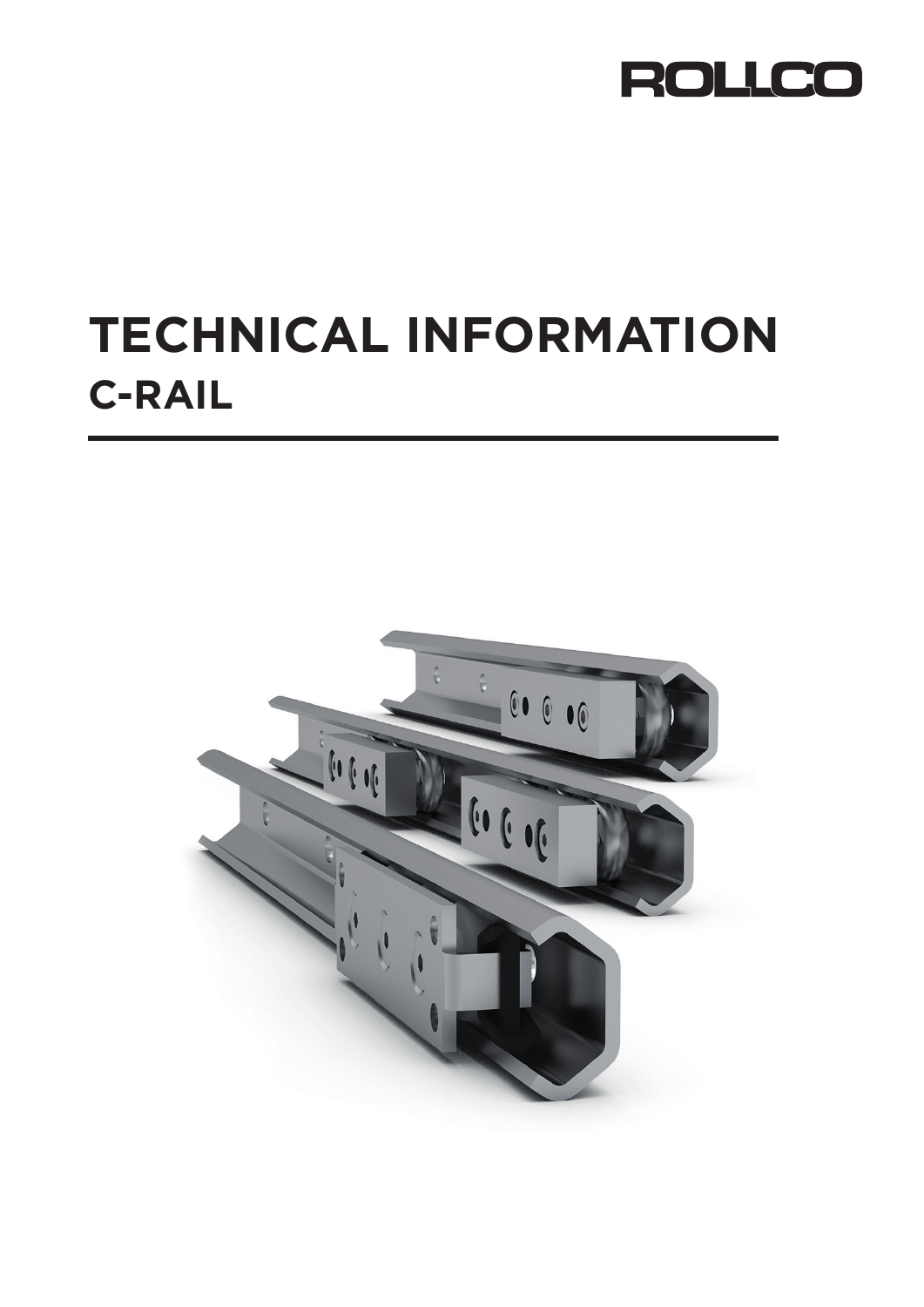

# **TECHNICAL INFORMATION C-RAIL**

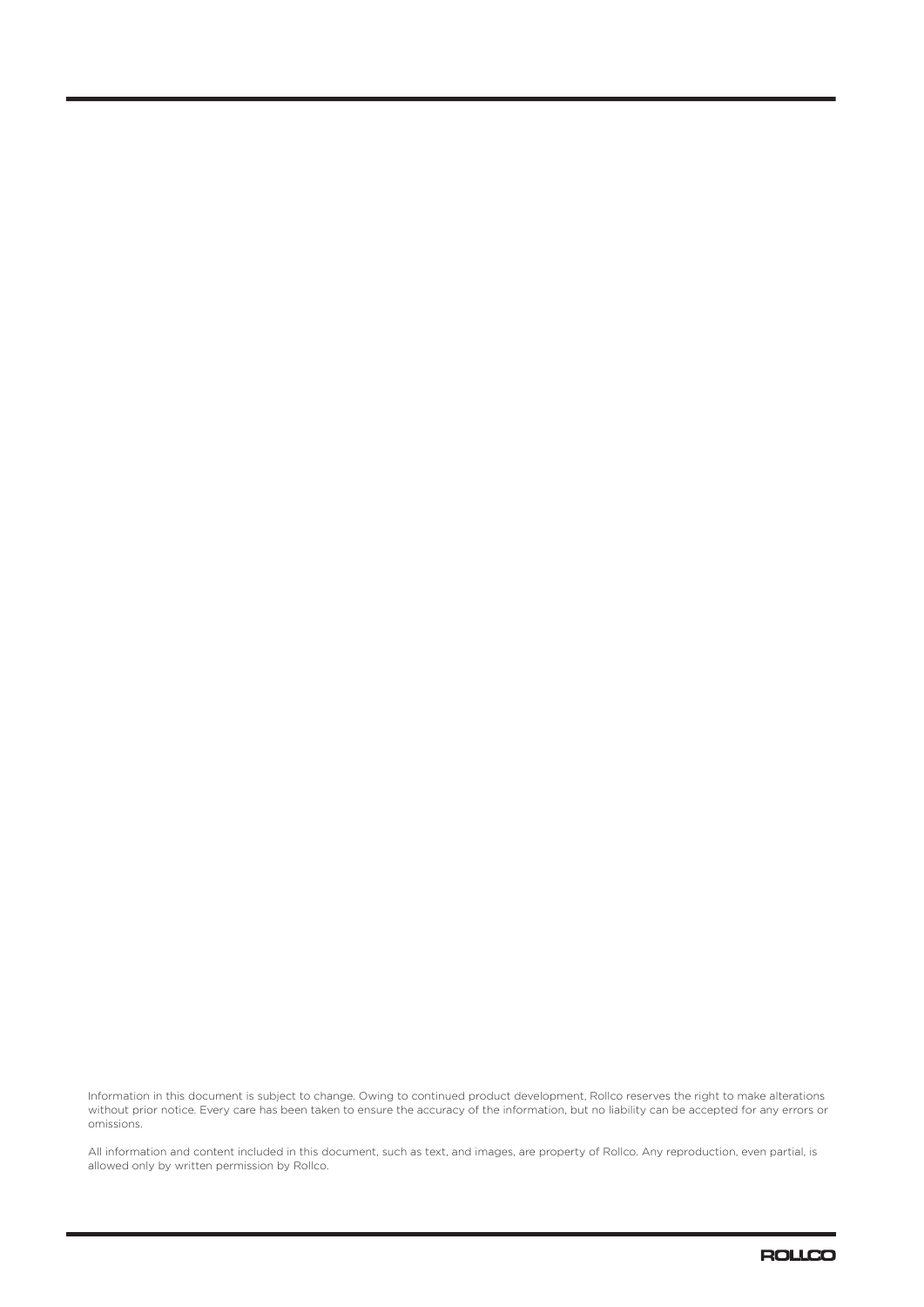Information in this document is subject to change. Owing to continued product development, Rollco reserves the right to make alterations without prior notice. Every care has been taken to ensure the accuracy of the information, but no liability can be accepted for any errors or omissions.

All information and content included in this document, such as text, and images, are property of Rollco. Any reproduction, even partial, is allowed only by written permission by Rollco.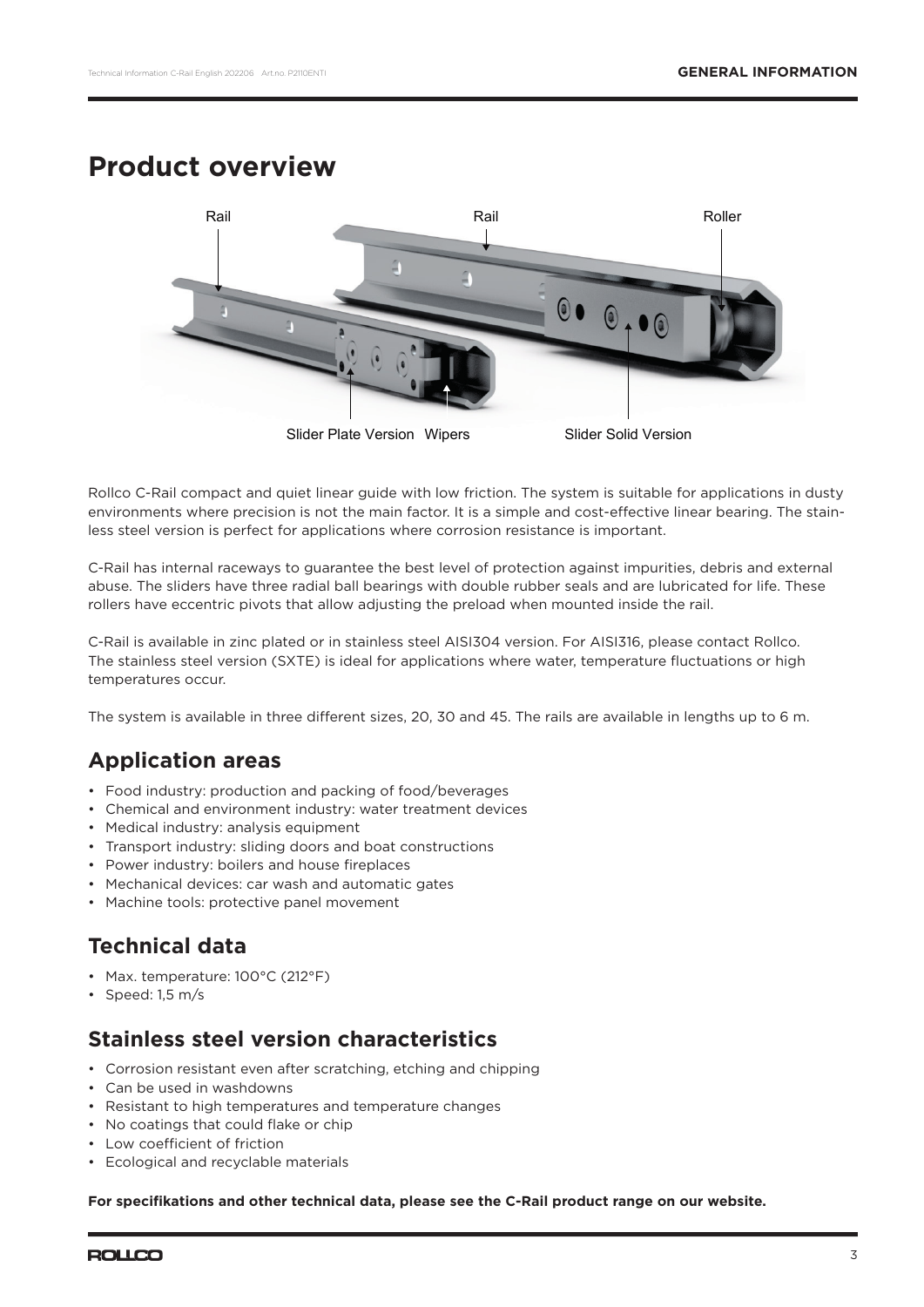### **Product overview**



Rollco C-Rail compact and quiet linear guide with low friction. The system is suitable for applications in dusty environments where precision is not the main factor. It is a simple and cost-effective linear bearing. The stainless steel version is perfect for applications where corrosion resistance is important.

C-Rail has internal raceways to guarantee the best level of protection against impurities, debris and external abuse. The sliders have three radial ball bearings with double rubber seals and are lubricated for life. These rollers have eccentric pivots that allow adjusting the preload when mounted inside the rail.

C-Rail is available in zinc plated or in stainless steel AISI304 version. For AISI316, please contact Rollco. The stainless steel version (SXTE) is ideal for applications where water, temperature fluctuations or high temperatures occur.

The system is available in three different sizes, 20, 30 and 45. The rails are available in lengths up to 6 m.

### **Application areas**

- Food industry: production and packing of food/beverages
- Chemical and environment industry: water treatment devices
- Medical industry: analysis equipment
- Transport industry: sliding doors and boat constructions
- Power industry: boilers and house fireplaces
- Mechanical devices: car wash and automatic gates
- Machine tools: protective panel movement

### **Technical data**

- Max. temperature: 100°C (212°F)
- Speed: 1,5 m/s

### **Stainless steel version characteristics**

- Corrosion resistant even after scratching, etching and chipping
- Can be used in washdowns
- Resistant to high temperatures and temperature changes
- No coatings that could flake or chip
- Low coefficient of friction
- Ecological and recyclable materials

**For specifi kations and other technical data, please see the C-Rail product range on our website.**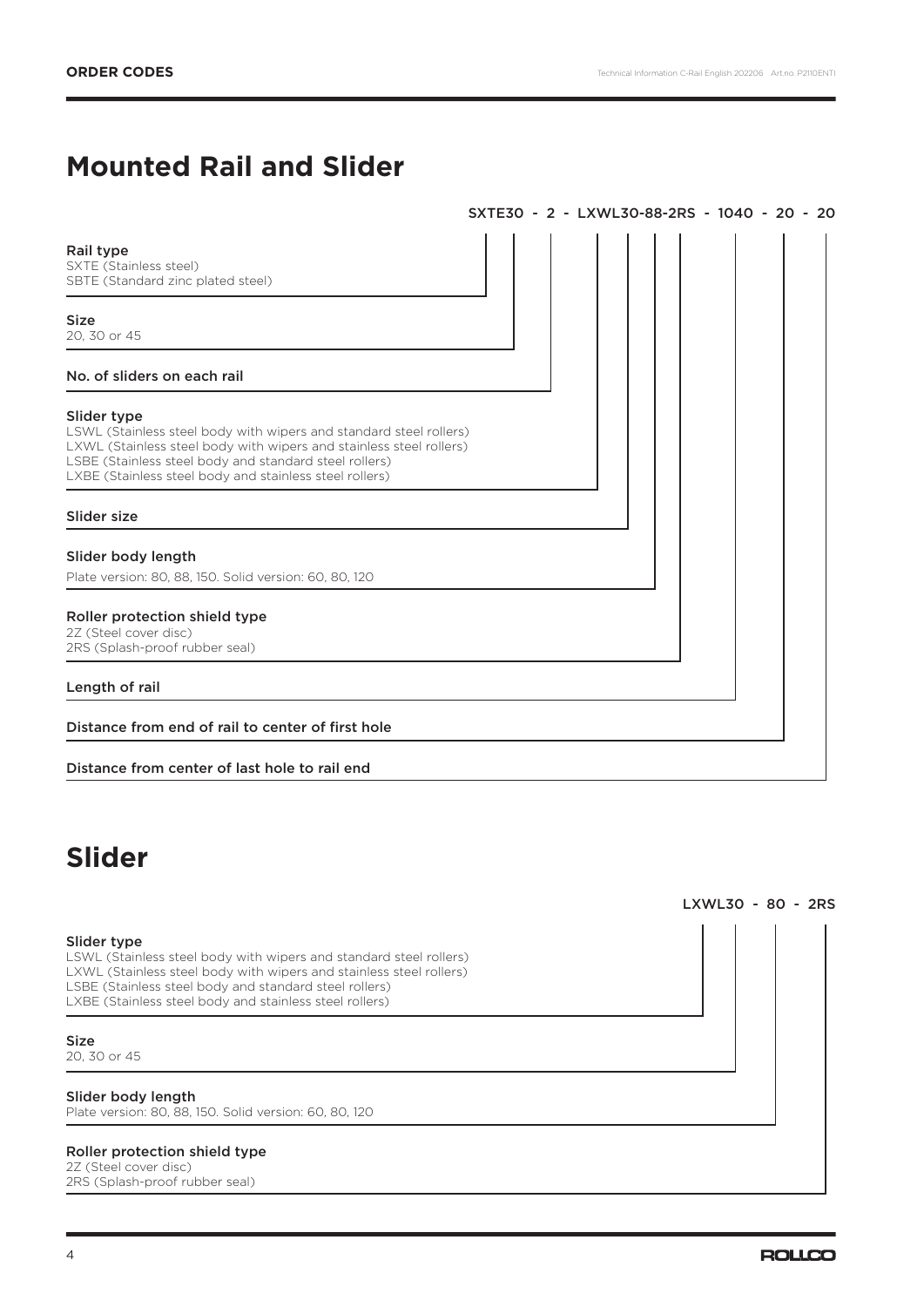# **Mounted Rail and Slider**

|                                                                                                                                                                                                                                                                               | SXTE30 - 2 - LXWL30-88-2RS - 1040 - 20 - 20 |  |  |  |  |
|-------------------------------------------------------------------------------------------------------------------------------------------------------------------------------------------------------------------------------------------------------------------------------|---------------------------------------------|--|--|--|--|
| Rail type<br>SXTE (Stainless steel)<br>SBTE (Standard zinc plated steel)                                                                                                                                                                                                      |                                             |  |  |  |  |
| <b>Size</b><br>20, 30 or 45                                                                                                                                                                                                                                                   |                                             |  |  |  |  |
| No. of sliders on each rail                                                                                                                                                                                                                                                   |                                             |  |  |  |  |
| Slider type<br>LSWL (Stainless steel body with wipers and standard steel rollers)<br>LXWL (Stainless steel body with wipers and stainless steel rollers)<br>LSBE (Stainless steel body and standard steel rollers)<br>LXBE (Stainless steel body and stainless steel rollers) |                                             |  |  |  |  |
| Slider size                                                                                                                                                                                                                                                                   |                                             |  |  |  |  |
| Slider body length<br>Plate version: 80, 88, 150. Solid version: 60, 80, 120                                                                                                                                                                                                  |                                             |  |  |  |  |
| Roller protection shield type<br>2Z (Steel cover disc)<br>2RS (Splash-proof rubber seal)                                                                                                                                                                                      |                                             |  |  |  |  |
| Length of rail                                                                                                                                                                                                                                                                |                                             |  |  |  |  |
| Distance from end of rail to center of first hole                                                                                                                                                                                                                             |                                             |  |  |  |  |
| Distance from center of last hole to rail end                                                                                                                                                                                                                                 |                                             |  |  |  |  |

# **Slider**

#### Slider type

LSWL (Stainless steel body with wipers and standard steel rollers) LXWL (Stainless steel body with wipers and stainless steel rollers) LSBE (Stainless steel body and standard steel rollers) LXBE (Stainless steel body and stainless steel rollers)

#### Size

20, 30 or 45

#### Slider body length

Plate version: 80, 88, 150. Solid version: 60, 80, 120

#### Roller protection shield type

2Z (Steel cover disc) 2RS (Splash-proof rubber seal) LXWL30 - 80 - 2RS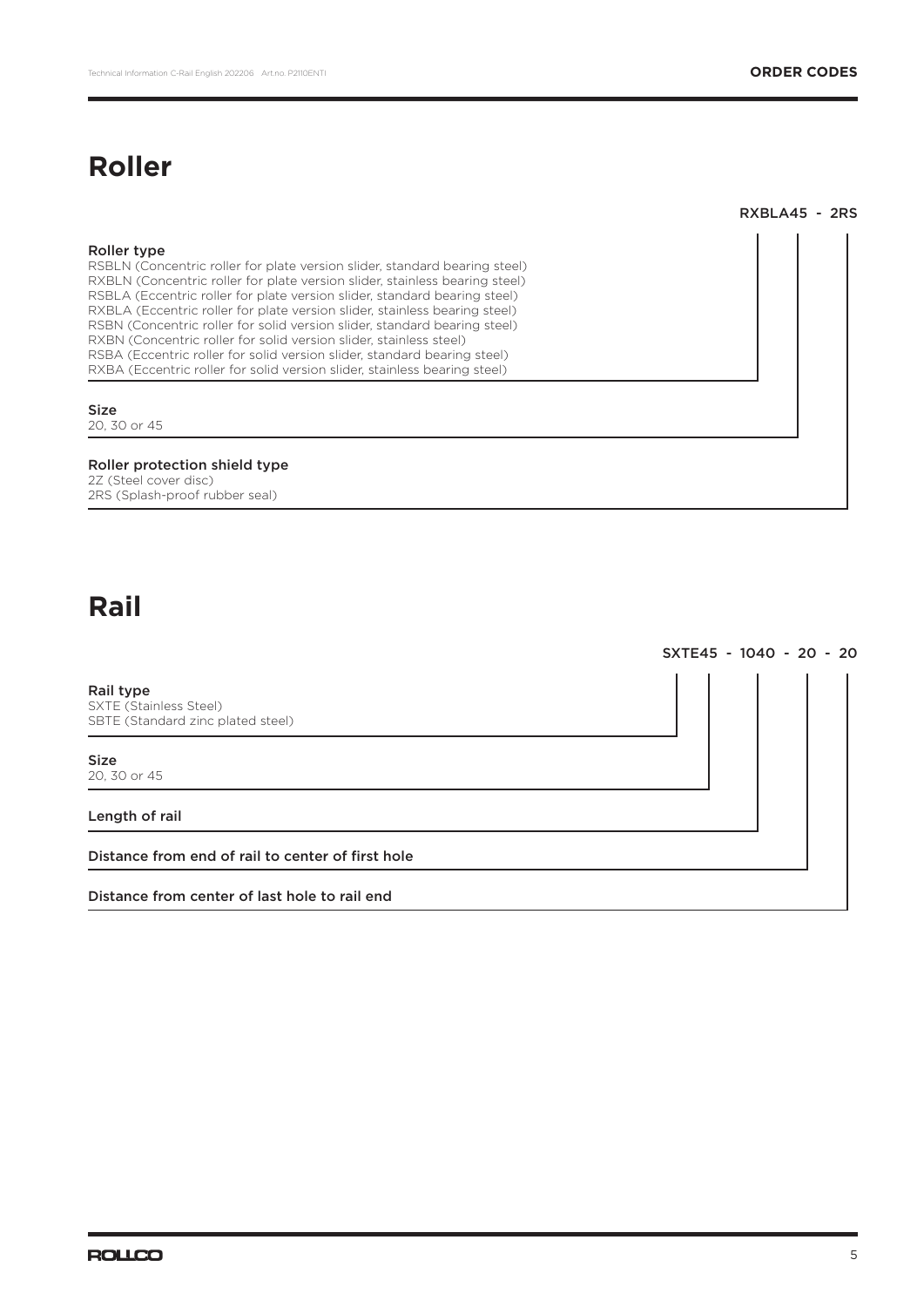# **Roller**

RXBLA45 - 2RS

| Roller type<br>RSBLN (Concentric roller for plate version slider, standard bearing steel)<br>RXBLN (Concentric roller for plate version slider, stainless bearing steel)<br>RSBLA (Eccentric roller for plate version slider, standard bearing steel)<br>RXBLA (Eccentric roller for plate version slider, stainless bearing steel)<br>RSBN (Concentric roller for solid version slider, standard bearing steel)<br>RXBN (Concentric roller for solid version slider, stainless steel)<br>RSBA (Eccentric roller for solid version slider, standard bearing steel)<br>RXBA (Eccentric roller for solid version slider, stainless bearing steel) |  |
|-------------------------------------------------------------------------------------------------------------------------------------------------------------------------------------------------------------------------------------------------------------------------------------------------------------------------------------------------------------------------------------------------------------------------------------------------------------------------------------------------------------------------------------------------------------------------------------------------------------------------------------------------|--|
| <b>Size</b><br>20, 30 or 45                                                                                                                                                                                                                                                                                                                                                                                                                                                                                                                                                                                                                     |  |
| Roller protection shield type<br>2Z (Steel cover disc)<br>2RS (Splash-proof rubber seal)                                                                                                                                                                                                                                                                                                                                                                                                                                                                                                                                                        |  |

# **Rail**

Rail type SXTE (Stainless Steel) SBTE (Standard zinc plated steel) Size 20, 30 or 45 Length of rail Distance from end of rail to center of first hole Distance from center of last hole to rail end

SXTE45 - 1040 - 20 - 20